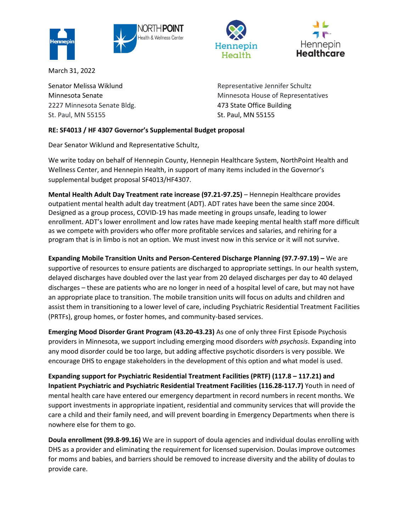

March 31, 2022

Senator Melissa Wiklund Minnesota Senate 2227 Minnesota Senate Bldg. St. Paul, MN 55155

Representative Jennifer Schultz Minnesota House of Representatives 473 State Office Building St. Paul, MN 55155

Hennepin

Health

Hennepin

Healthcare

## **RE: SF4013 / HF 4307 Governor's Supplemental Budget proposal**

Dear Senator Wiklund and Representative Schultz,

We write today on behalf of Hennepin County, Hennepin Healthcare System, NorthPoint Health and Wellness Center, and Hennepin Health, in support of many items included in the Governor's supplemental budget proposal SF4013/HF4307.

**Mental Health Adult Day Treatment rate increase (97.21-97.25)** – Hennepin Healthcare provides outpatient mental health adult day treatment (ADT). ADT rates have been the same since 2004. Designed as a group process, COVID-19 has made meeting in groups unsafe, leading to lower enrollment. ADT's lower enrollment and low rates have made keeping mental health staff more difficult as we compete with providers who offer more profitable services and salaries, and rehiring for a program that is in limbo is not an option. We must invest now in this service or it will not survive.

**Expanding Mobile Transition Units and Person-Centered Discharge Planning (97.7-97.19) – We are** supportive of resources to ensure patients are discharged to appropriate settings. In our health system, delayed discharges have doubled over the last year from 20 delayed discharges per day to 40 delayed discharges – these are patients who are no longer in need of a hospital level of care, but may not have an appropriate place to transition. The mobile transition units will focus on adults and children and assist them in transitioning to a lower level of care, including Psychiatric Residential Treatment Facilities (PRTFs), group homes, or foster homes, and community-based services.

**Emerging Mood Disorder Grant Program (43.20-43.23)** As one of only three First Episode Psychosis providers in Minnesota, we support including emerging mood disorders *with psychosis*. Expanding into any mood disorder could be too large, but adding affective psychotic disorders is very possible. We encourage DHS to engage stakeholders in the development of this option and what model is used.

**Expanding support for Psychiatric Residential Treatment Facilities (PRTF) (117.8 – 117.21) and Inpatient Psychiatric and Psychiatric Residential Treatment Facilities (116.28-117.7)** Youth in need of mental health care have entered our emergency department in record numbers in recent months. We support investments in appropriate inpatient, residential and community services that will provide the care a child and their family need, and will prevent boarding in Emergency Departments when there is nowhere else for them to go.

**Doula enrollment (99.8-99.16)** We are in support of doula agencies and individual doulas enrolling with DHS as a provider and eliminating the requirement for licensed supervision. Doulas improve outcomes for moms and babies, and barriers should be removed to increase diversity and the ability of doulas to provide care.